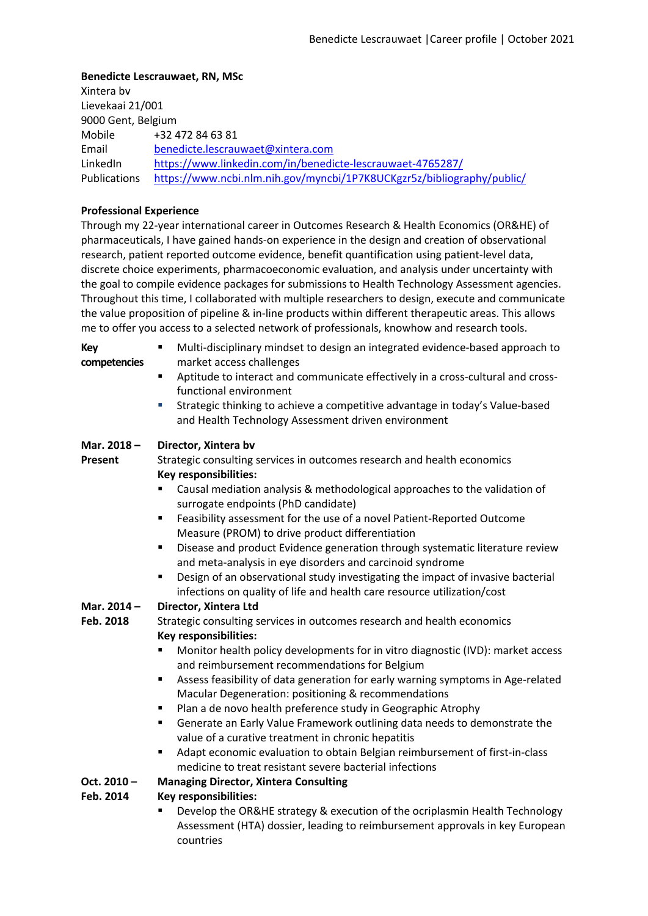### **Benedicte Lescrauwaet, RN, MSc**

Xintera bv Lievekaai 21/001 9000 Gent, Belgium Mobile Email LinkedIn Publications +32 472 84 63 81 benedicte.lescrauwaet@xintera.com https://www.linkedin.com/in/benedicte-lescrauwaet-4765287/ https://www.ncbi.nlm.nih.gov/myncbi/1P7K8UCKgzr5z/bibliography/public/

### **Professional Experience**

Through my 22-year international career in Outcomes Research & Health Economics (OR&HE) of pharmaceuticals, I have gained hands-on experience in the design and creation of observational research, patient reported outcome evidence, benefit quantification using patient-level data, discrete choice experiments, pharmacoeconomic evaluation, and analysis under uncertainty with the goal to compile evidence packages for submissions to Health Technology Assessment agencies. Throughout this time, I collaborated with multiple researchers to design, execute and communicate the value proposition of pipeline & in-line products within different therapeutic areas. This allows me to offer you access to a selected network of professionals, knowhow and research tools.

| Key          | Multi-disciplinary mindset to design an integrated evidence-based approach to   |
|--------------|---------------------------------------------------------------------------------|
| competencies | market access challenges                                                        |
|              | Antitude to interact and communicate effectively in a cross-cultural and cross- |

- § Aptitude to interact and communicate effectively in a cross-cultural and crossfunctional environment
- Strategic thinking to achieve a competitive advantage in today's Value-based and Health Technology Assessment driven environment

#### **Mar. 2018 – Director, Xintera bv**

**Present** Strategic consulting services in outcomes research and health economics **Key responsibilities:**

- § Causal mediation analysis & methodological approaches to the validation of surrogate endpoints (PhD candidate)
- Feasibility assessment for the use of a novel Patient-Reported Outcome Measure (PROM) to drive product differentiation
- **•** Disease and product Evidence generation through systematic literature review and meta-analysis in eye disorders and carcinoid syndrome
- Design of an observational study investigating the impact of invasive bacterial infections on quality of life and health care resource utilization/cost

#### **Mar. 2014 – Director, Xintera Ltd**

**Feb. 2018** Strategic consulting services in outcomes research and health economics **Key responsibilities:**

- § Monitor health policy developments for in vitro diagnostic (IVD): market access and reimbursement recommendations for Belgium
- Assess feasibility of data generation for early warning symptoms in Age-related Macular Degeneration: positioning & recommendations
- Plan a de novo health preference study in Geographic Atrophy
- § Generate an Early Value Framework outlining data needs to demonstrate the value of a curative treatment in chronic hepatitis
- Adapt economic evaluation to obtain Belgian reimbursement of first-in-class medicine to treat resistant severe bacterial infections

#### **Oct. 2010 – Managing Director, Xintera Consulting**

#### **Feb. 2014 Key responsibilities:**

§ Develop the OR&HE strategy & execution of the ocriplasmin Health Technology Assessment (HTA) dossier, leading to reimbursement approvals in key European countries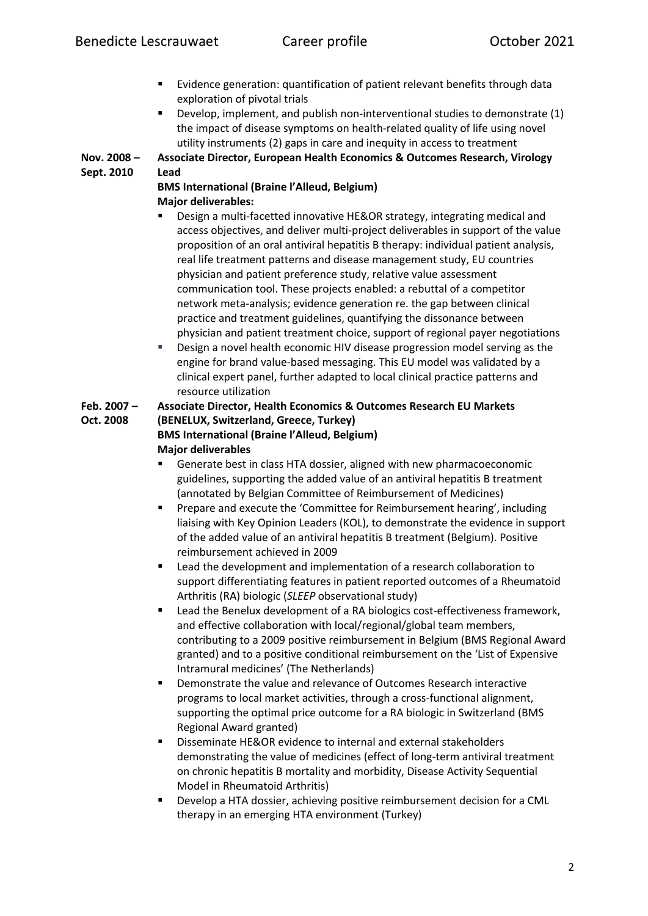- Evidence generation: quantification of patient relevant benefits through data exploration of pivotal trials
- § Develop, implement, and publish non-interventional studies to demonstrate (1) the impact of disease symptoms on health-related quality of life using novel utility instruments (2) gaps in care and inequity in access to treatment

**Nov. 2008 – Sept. 2010 Associate Director, European Health Economics & Outcomes Research, Virology Lead**

## **BMS International (Braine l'Alleud, Belgium) Major deliverables:**

- § Design a multi-facetted innovative HE&OR strategy, integrating medical and access objectives, and deliver multi-project deliverables in support of the value proposition of an oral antiviral hepatitis B therapy: individual patient analysis, real life treatment patterns and disease management study, EU countries physician and patient preference study, relative value assessment communication tool. These projects enabled: a rebuttal of a competitor network meta-analysis; evidence generation re. the gap between clinical practice and treatment guidelines, quantifying the dissonance between physician and patient treatment choice, support of regional payer negotiations
- **•** Design a novel health economic HIV disease progression model serving as the engine for brand value-based messaging. This EU model was validated by a clinical expert panel, further adapted to local clinical practice patterns and resource utilization

#### **Feb. 2007 – Oct. 2008 Associate Director, Health Economics & Outcomes Research EU Markets (BENELUX, Switzerland, Greece, Turkey)**

# **BMS International (Braine l'Alleud, Belgium) Major deliverables**

- § Generate best in class HTA dossier, aligned with new pharmacoeconomic guidelines, supporting the added value of an antiviral hepatitis B treatment (annotated by Belgian Committee of Reimbursement of Medicines)
- § Prepare and execute the 'Committee for Reimbursement hearing', including liaising with Key Opinion Leaders (KOL), to demonstrate the evidence in support of the added value of an antiviral hepatitis B treatment (Belgium). Positive reimbursement achieved in 2009
- Lead the development and implementation of a research collaboration to support differentiating features in patient reported outcomes of a Rheumatoid Arthritis (RA) biologic (*SLEEP* observational study)
- Lead the Benelux development of a RA biologics cost-effectiveness framework, and effective collaboration with local/regional/global team members, contributing to a 2009 positive reimbursement in Belgium (BMS Regional Award granted) and to a positive conditional reimbursement on the 'List of Expensive Intramural medicines' (The Netherlands)
- Demonstrate the value and relevance of Outcomes Research interactive programs to local market activities, through a cross-functional alignment, supporting the optimal price outcome for a RA biologic in Switzerland (BMS Regional Award granted)
- Disseminate HE&OR evidence to internal and external stakeholders demonstrating the value of medicines (effect of long-term antiviral treatment on chronic hepatitis B mortality and morbidity, Disease Activity Sequential Model in Rheumatoid Arthritis)
- Develop a HTA dossier, achieving positive reimbursement decision for a CML therapy in an emerging HTA environment (Turkey)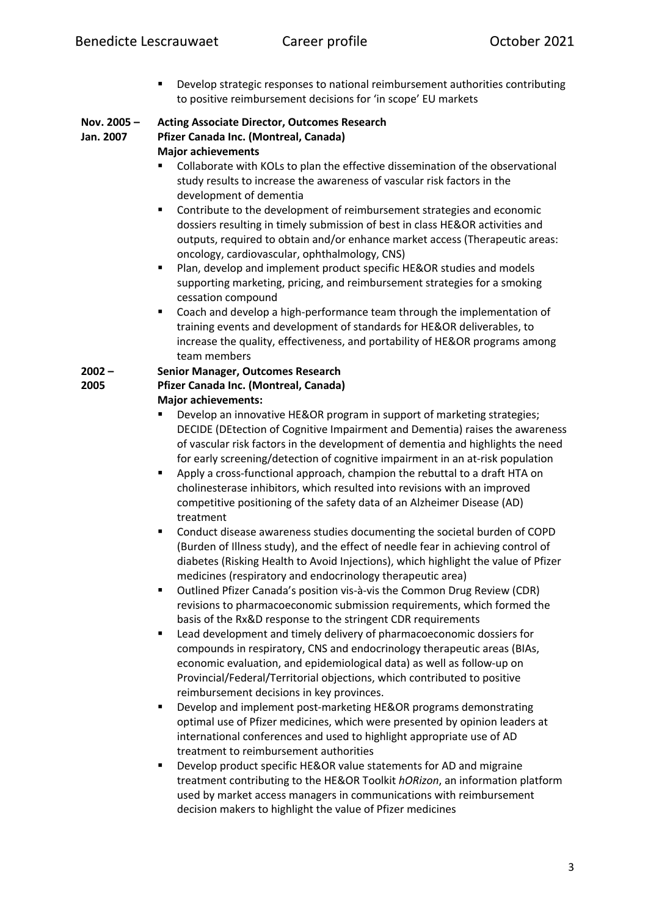■ Develop strategic responses to national reimbursement authorities contributing to positive reimbursement decisions for 'in scope' EU markets

| Nov. 2005 – | <b>Acting Associate Director, Outcomes Research</b> |
|-------------|-----------------------------------------------------|
| Jan. 2007   | Pfizer Canada Inc. (Montreal, Canada)               |
|             | <b>Major achievements</b>                           |

- Collaborate with KOLs to plan the effective dissemination of the observational study results to increase the awareness of vascular risk factors in the development of dementia
- Contribute to the development of reimbursement strategies and economic dossiers resulting in timely submission of best in class HE&OR activities and outputs, required to obtain and/or enhance market access (Therapeutic areas: oncology, cardiovascular, ophthalmology, CNS)
- Plan, develop and implement product specific HE&OR studies and models supporting marketing, pricing, and reimbursement strategies for a smoking cessation compound
- Coach and develop a high-performance team through the implementation of training events and development of standards for HE&OR deliverables, to increase the quality, effectiveness, and portability of HE&OR programs among team members

### **2002 – 2005 Senior Manager, Outcomes Research Pfizer Canada Inc. (Montreal, Canada)**

**Major achievements:**

- § Develop an innovative HE&OR program in support of marketing strategies; DECIDE (DEtection of Cognitive Impairment and Dementia) raises the awareness of vascular risk factors in the development of dementia and highlights the need for early screening/detection of cognitive impairment in an at-risk population
- § Apply a cross-functional approach, champion the rebuttal to a draft HTA on cholinesterase inhibitors, which resulted into revisions with an improved competitive positioning of the safety data of an Alzheimer Disease (AD) treatment
- § Conduct disease awareness studies documenting the societal burden of COPD (Burden of Illness study), and the effect of needle fear in achieving control of diabetes (Risking Health to Avoid Injections), which highlight the value of Pfizer medicines (respiratory and endocrinology therapeutic area)
- Outlined Pfizer Canada's position vis-à-vis the Common Drug Review (CDR) revisions to pharmacoeconomic submission requirements, which formed the basis of the Rx&D response to the stringent CDR requirements
- Lead development and timely delivery of pharmacoeconomic dossiers for compounds in respiratory, CNS and endocrinology therapeutic areas (BIAs, economic evaluation, and epidemiological data) as well as follow-up on Provincial/Federal/Territorial objections, which contributed to positive reimbursement decisions in key provinces.
- Develop and implement post-marketing HE&OR programs demonstrating optimal use of Pfizer medicines, which were presented by opinion leaders at international conferences and used to highlight appropriate use of AD treatment to reimbursement authorities
- Develop product specific HE&OR value statements for AD and migraine treatment contributing to the HE&OR Toolkit *hORizon*, an information platform used by market access managers in communications with reimbursement decision makers to highlight the value of Pfizer medicines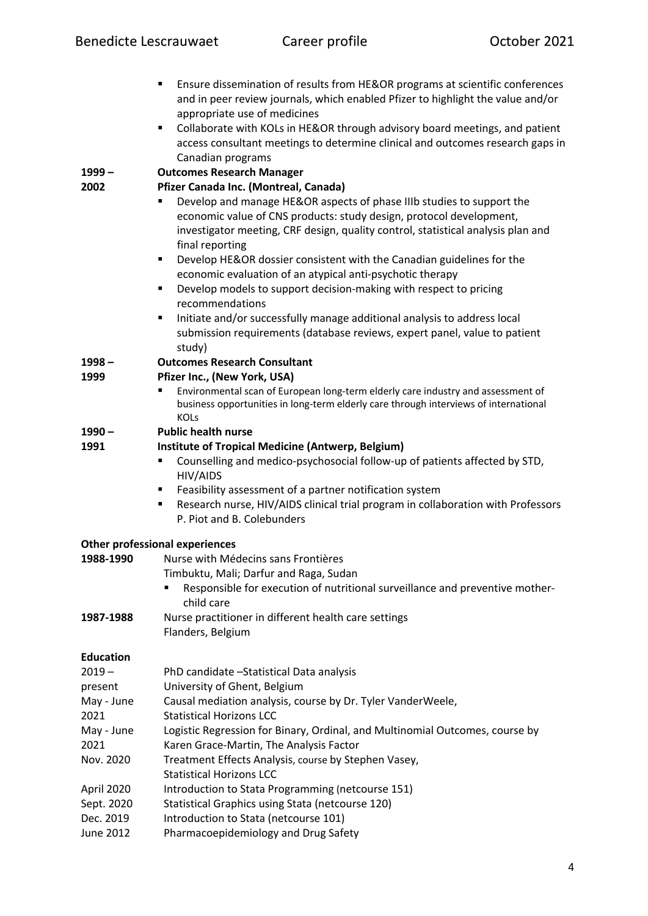- Ensure dissemination of results from HE&OR programs at scientific conferences and in peer review journals, which enabled Pfizer to highlight the value and/or appropriate use of medicines
- Collaborate with KOLs in HE&OR through advisory board meetings, and patient access consultant meetings to determine clinical and outcomes research gaps in Canadian programs

**1999 – Outcomes Research Manager** 

#### **2002 Pfizer Canada Inc. (Montreal, Canada)**

- § Develop and manage HE&OR aspects of phase IIIb studies to support the economic value of CNS products: study design, protocol development, investigator meeting, CRF design, quality control, statistical analysis plan and final reporting
- Develop HE&OR dossier consistent with the Canadian guidelines for the economic evaluation of an atypical anti-psychotic therapy
- Develop models to support decision-making with respect to pricing recommendations
- Initiate and/or successfully manage additional analysis to address local submission requirements (database reviews, expert panel, value to patient study)

#### **1998 – Outcomes Research Consultant**

#### **1999 Pfizer Inc., (New York, USA)**

Environmental scan of European long-term elderly care industry and assessment of business opportunities in long-term elderly care through interviews of international KOLs

#### **1990 – Public health nurse**

#### **1991 Institute of Tropical Medicine (Antwerp, Belgium)**

- Counselling and medico-psychosocial follow-up of patients affected by STD, HIV/AIDS
- Feasibility assessment of a partner notification system
- Research nurse, HIV/AIDS clinical trial program in collaboration with Professors P. Piot and B. Colebunders

### **Other professional experiences**

| 1988-1990        | Nurse with Médecins sans Frontières                                                        |  |  |
|------------------|--------------------------------------------------------------------------------------------|--|--|
|                  | Timbuktu, Mali; Darfur and Raga, Sudan                                                     |  |  |
|                  | Responsible for execution of nutritional surveillance and preventive mother-<br>child care |  |  |
| 1987-1988        | Nurse practitioner in different health care settings                                       |  |  |
|                  | Flanders, Belgium                                                                          |  |  |
| <b>Education</b> |                                                                                            |  |  |
| 2019 –           | PhD candidate - Statistical Data analysis                                                  |  |  |
| present          | University of Ghent, Belgium                                                               |  |  |
| May - June       | Causal mediation analysis, course by Dr. Tyler VanderWeele,                                |  |  |
| 2021             | <b>Statistical Horizons LCC</b>                                                            |  |  |
| May - June       | Logistic Regression for Binary, Ordinal, and Multinomial Outcomes, course by               |  |  |
| 2021             | Karen Grace-Martin, The Analysis Factor                                                    |  |  |
| Nov. 2020        | Treatment Effects Analysis, course by Stephen Vasey,                                       |  |  |
|                  | <b>Statistical Horizons LCC</b>                                                            |  |  |
| April 2020       | Introduction to Stata Programming (netcourse 151)                                          |  |  |
| Sept. 2020       | Statistical Graphics using Stata (netcourse 120)                                           |  |  |
| Dec. 2019        | Introduction to Stata (netcourse 101)                                                      |  |  |
| June 2012        | Pharmacoepidemiology and Drug Safety                                                       |  |  |